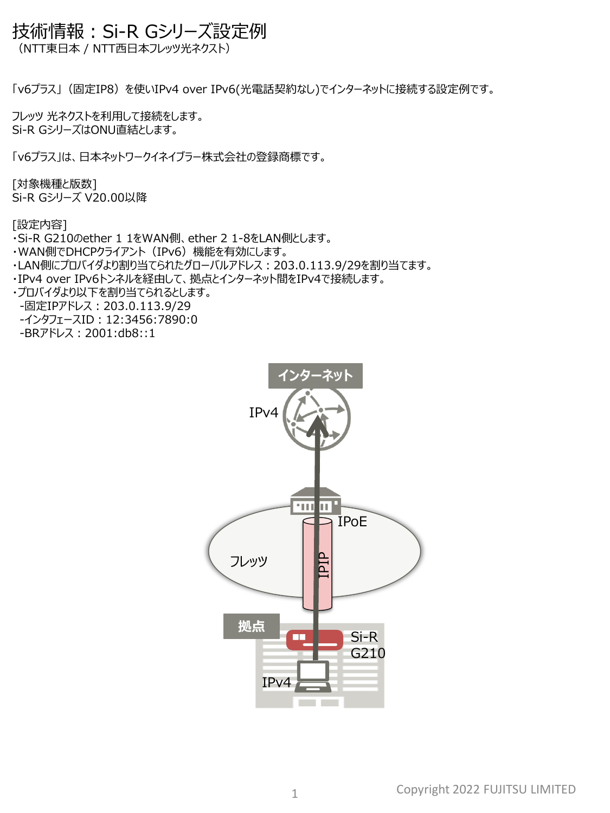## 技術情報:Si-R Gシリーズ設定例

(NTT東日本 / NTT西日本フレッツ光ネクスト)

「v6プラス」(固定IP8)を使いIPv4 over IPv6(光電話契約なし)でインターネットに接続する設定例です。

フレッツ 光ネクストを利用して接続をします。 Si-R GシリーズはONU直結とします。

「v6プラス」は、日本ネットワークイネイブラー株式会社の登録商標です。

[対象機種と版数] Si-R Gシリーズ V20.00以降

[設定内容]

・Si-R G210のether 1 1をWAN側、ether 2 1-8をLAN側とします。

- ・WAN側でDHCPクライアント(IPv6)機能を有効にします。
- ·LAN側にプロバイダより割り当てられたグローバルアドレス: 203.0.113.9/29を割り当てます。
- ・IPv4 over IPv6トンネルを経由して、拠点とインターネット間をIPv4で接続します。

・プロバイダより以下を割り当てられるとします。 -固定IPアドレス:203.0.113.9/29

-インタフェースID: 12:3456:7890:0

-BRアドレス:2001:db8::1

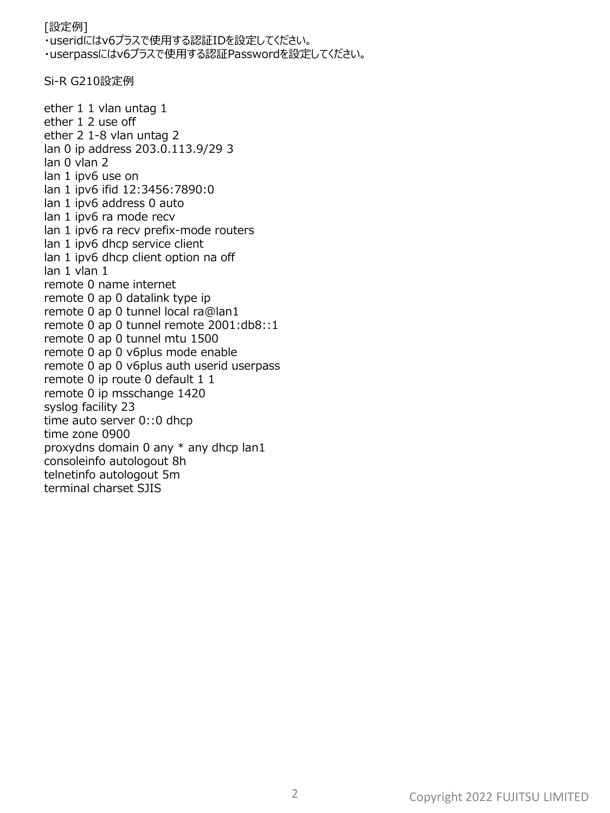## [設定例] ・useridにはv6プラスで使用する認証IDを設定してください。 ・userpassにはv6プラスで使用する認証Passwordを設定してください。

Si-R G210設定例

ether 1 1 vlan untag 1 ether 1 2 use off ether 2 1-8 vlan untag 2 lan 0 ip address 203.0.113.9/29 3 lan 0 vlan 2 lan 1 ipv6 use on lan 1 ipv6 ifid 12:3456:7890:0 lan 1 ipv6 address 0 auto lan 1 ipv6 ra mode recv lan 1 ipv6 ra recv prefix-mode routers lan 1 ipv6 dhcp service client lan 1 ipv6 dhcp client option na off lan 1 vlan 1 remote 0 name internet remote 0 ap 0 datalink type ip remote 0 ap 0 tunnel local ra@lan1 remote 0 ap 0 tunnel remote 2001:db8::1 remote 0 ap 0 tunnel mtu 1500 remote 0 ap 0 v6plus mode enable remote 0 ap 0 v6plus auth userid userpass remote 0 ip route 0 default 1 1 remote 0 ip msschange 1420 syslog facility 23 time auto server 0::0 dhcp time zone 0900 proxydns domain 0 any \* any dhcp lan1 consoleinfo autologout 8h telnetinfo autologout 5m terminal charset SJIS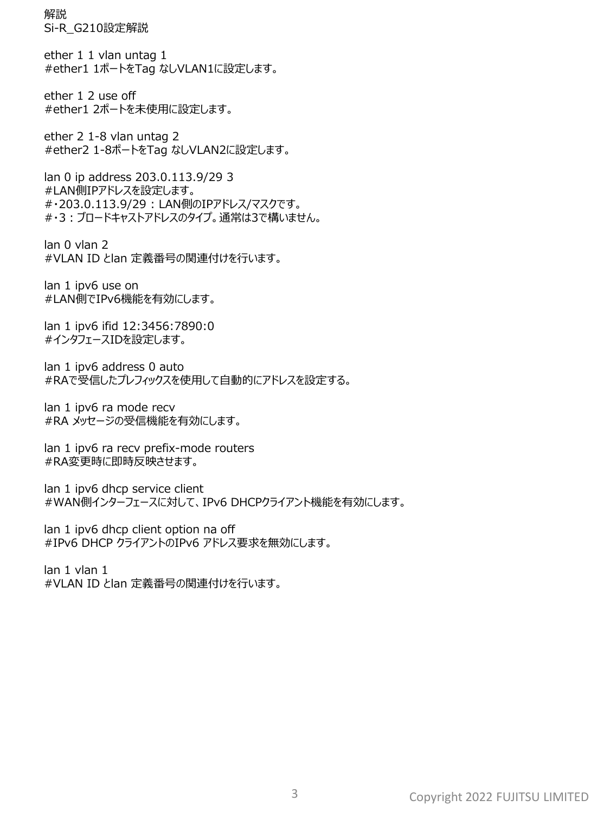解説 Si-R\_G210設定解説

ether 1 1 vlan untag 1 #ether1 1ポートをTag なしVLAN1に設定します。

ether 1 2 use off #ether1 2ポートを未使用に設定します。

ether 2 1-8 vlan untag 2 #ether2 1-8ポートをTag なしVLAN2に設定します。

lan 0 ip address 203.0.113.9/29 3 #LAN側IPアドレスを設定します。 #・203.0.113.9/29 : LAN側のIPアドレス/マスクです。 #・3:ブロードキャストアドレスのタイプ。通常は3で構いません。

lan 0 vlan 2 #VLAN ID とlan 定義番号の関連付けを行います。

lan 1 ipv6 use on #LAN側でIPv6機能を有効にします。

lan 1 ipv6 ifid 12:3456:7890:0 #インタフェースIDを設定します。

lan 1 ipv6 address 0 auto #RAで受信したプレフィックスを使用して自動的にアドレスを設定する。

lan 1 ipv6 ra mode recv #RA メッセージの受信機能を有効にします。

lan 1 ipv6 ra recv prefix-mode routers #RA変更時に即時反映させます。

lan 1 ipv6 dhcp service client #WAN側インターフェースに対して、IPv6 DHCPクライアント機能を有効にします。

lan 1 ipv6 dhcp client option na off #IPv6 DHCP クライアントのIPv6 アドレス要求を無効にします。

lan 1 vlan 1 #VLAN ID とlan 定義番号の関連付けを行います。